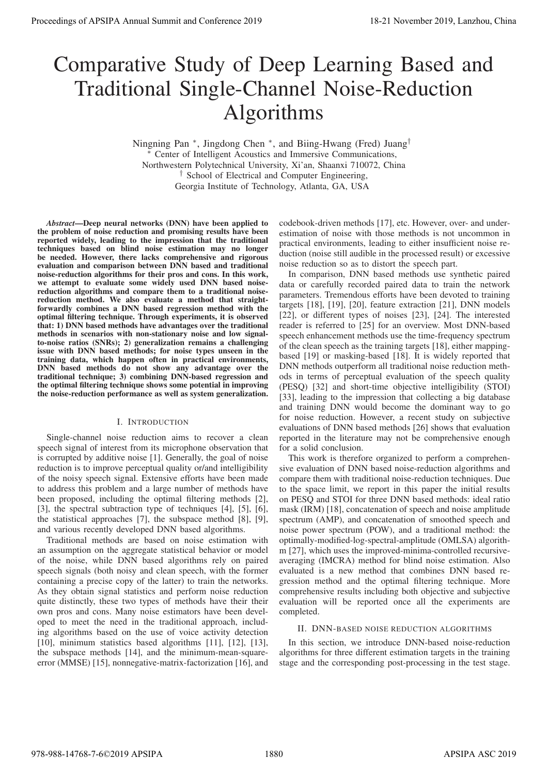# Comparative Study of Deep Learning Based and Traditional Single-Channel Noise-Reduction Algorithms

Ningning Pan <sup>∗</sup>, Jingdong Chen <sup>∗</sup>, and Biing-Hwang (Fred) Juang<sup>†</sup> Center of Intelligent Acoustics and Immersive Communications, Northwestern Polytechnical University, Xi'an, Shaanxi 710072, China † School of Electrical and Computer Engineering, Georgia Institute of Technology, Atlanta, GA, USA

*Abstract*—Deep neural networks (DNN) have been applied to the problem of noise reduction and promising results have been reported widely, leading to the impression that the traditional techniques based on blind noise estimation may no longer be needed. However, there lacks comprehensive and rigorous evaluation and comparison between DNN based and traditional noise-reduction algorithms for their pros and cons. In this work, we attempt to evaluate some widely used DNN based noisereduction algorithms and compare them to a traditional noisereduction method. We also evaluate a method that straightforwardly combines a DNN based regression method with the optimal filtering technique. Through experiments, it is observed that: 1) DNN based methods have advantages over the traditional methods in scenarios with non-stationary noise and low signalto-noise ratios (SNRs); 2) generalization remains a challenging issue with DNN based methods; for noise types unseen in the training data, which happen often in practical environments, DNN based methods do not show any advantage over the traditional technique; 3) combining DNN-based regression and the optimal filtering technique shows some potential in improving the noise-reduction performance as well as system generalization.

# I. INTRODUCTION

Single-channel noise reduction aims to recover a clean speech signal of interest from its microphone observation that is corrupted by additive noise [1]. Generally, the goal of noise reduction is to improve perceptual quality or/and intelligibility of the noisy speech signal. Extensive efforts have been made to address this problem and a large number of methods have been proposed, including the optimal filtering methods [2], [3], the spectral subtraction type of techniques [4], [5], [6], the statistical approaches [7], the subspace method [8], [9], and various recently developed DNN based algorithms.

Traditional methods are based on noise estimation with an assumption on the aggregate statistical behavior or model of the noise, while DNN based algorithms rely on paired speech signals (both noisy and clean speech, with the former containing a precise copy of the latter) to train the networks. As they obtain signal statistics and perform noise reduction quite distinctly, these two types of methods have their their own pros and cons. Many noise estimators have been developed to meet the need in the traditional approach, including algorithms based on the use of voice activity detection [10], minimum statistics based algorithms [11], [12], [13], the subspace methods [14], and the minimum-mean-squareerror (MMSE) [15], nonnegative-matrix-factorization [16], and

codebook-driven methods [17], etc. However, over- and underestimation of noise with those methods is not uncommon in practical environments, leading to either insufficient noise reduction (noise still audible in the processed result) or excessive noise reduction so as to distort the speech part.

In comparison, DNN based methods use synthetic paired data or carefully recorded paired data to train the network parameters. Tremendous efforts have been devoted to training targets [18], [19], [20], feature extraction [21], DNN models [22], or different types of noises [23], [24]. The interested reader is referred to [25] for an overview. Most DNN-based speech enhancement methods use the time-frequency spectrum of the clean speech as the training targets [18], either mappingbased [19] or masking-based [18]. It is widely reported that DNN methods outperform all traditional noise reduction methods in terms of perceptual evaluation of the speech quality (PESQ) [32] and short-time objective intelligibility (STOI) [33], leading to the impression that collecting a big database and training DNN would become the dominant way to go for noise reduction. However, a recent study on subjective evaluations of DNN based methods [26] shows that evaluation reported in the literature may not be comprehensive enough for a solid conclusion. **Proceedings of APSIPA Annual Summit at China 2019**<br>
Comparative Study of Deep Learning Based and<br>
Traditional Single-Channel Novise Reduction<br>
Higher Party Procedure 2019<br>
Higher Reduction (Names and Conference 2019)<br>
Ne

This work is therefore organized to perform a comprehensive evaluation of DNN based noise-reduction algorithms and compare them with traditional noise-reduction techniques. Due to the space limit, we report in this paper the initial results on PESQ and STOI for three DNN based methods: ideal ratio mask (IRM) [18], concatenation of speech and noise amplitude spectrum (AMP), and concatenation of smoothed speech and noise power spectrum (POW), and a traditional method: the optimally-modified-log-spectral-amplitude (OMLSA) algorithm [27], which uses the improved-minima-controlled recursiveaveraging (IMCRA) method for blind noise estimation. Also evaluated is a new method that combines DNN based regression method and the optimal filtering technique. More comprehensive results including both objective and subjective evaluation will be reported once all the experiments are completed.

#### II. DNN-BASED NOISE REDUCTION ALGORITHMS

In this section, we introduce DNN-based noise-reduction algorithms for three different estimation targets in the training stage and the corresponding post-processing in the test stage.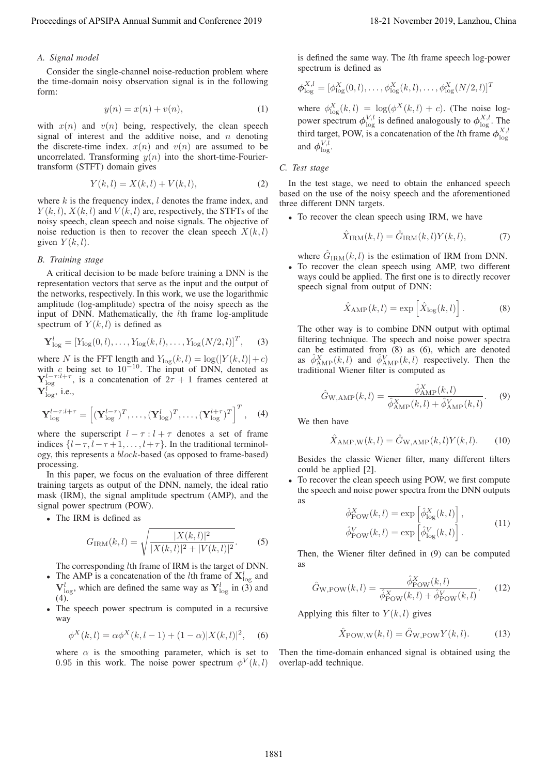# *A. Signal model*

Consider the single-channel noise-reduction problem where the time-domain noisy observation signal is in the following form:

$$
y(n) = x(n) + v(n),
$$
\n(1)

with  $x(n)$  and  $v(n)$  being, respectively, the clean speech signal of interest and the additive noise, and  $n$  denoting the discrete-time index.  $x(n)$  and  $v(n)$  are assumed to be uncorrelated. Transforming  $y(n)$  into the short-time-Fouriertransform (STFT) domain gives

$$
Y(k, l) = X(k, l) + V(k, l),
$$
 (2)

where  $k$  is the frequency index,  $l$  denotes the frame index, and  $Y(k, l)$ ,  $X(k, l)$  and  $V(k, l)$  are, respectively, the STFTs of the noisy speech, clean speech and noise signals. The objective of noise reduction is then to recover the clean speech  $X(k, l)$ given  $Y(k,l)$ .

# *B. Training stage*

A critical decision to be made before training a DNN is the representation vectors that serve as the input and the output of the networks, respectively. In this work, we use the logarithmic amplitude (log-amplitude) spectra of the noisy speech as the input of DNN. Mathematically, the *lth* frame log-amplitude spectrum of  $Y(k, l)$  is defined as Proceeding of APSIPA Annual Summit and Co-Fare 2019 18-21 November 2019 18-21 November 2019, Lanzhou, China 1882<br>
4. Consider the supportion of the super-field in the conference 2019<br>
Between Summit and Conference 2019<br>
B

$$
\mathbf{Y}_{\text{log}}^l = [Y_{\text{log}}(0, l), \dots, Y_{\text{log}}(k, l), \dots, Y_{\text{log}}(N/2, l)]^T,
$$
 (3)

where N is the FFT length and  $Y_{log}(k,l) = log(|Y(k,l)|+c)$ <br>with c being set to  $10^{-10}$ . The input of DNN denoted as with c being set to  $10^{-10}$ . The input of DNN, denoted as  $\mathbf{Y}^{l-\tau:l+\tau}$  is a concatenation of  $2\tau+1$  frames centered at  $\mathbf{Y}_{\text{log}}^{l-\tau:l+\tau}$ , is a concatenation of  $2\tau + 1$  frames centered at  $\mathbf{Y}_{l}^{l}$  ${\bf Y}_{\log}^l,$  i.e.,

$$
\mathbf{Y}_{\text{log}}^{l-\tau:l+\tau} = \left[ (\mathbf{Y}_{\text{log}}^{l-\tau})^T, \dots, (\mathbf{Y}_{\text{log}}^{l})^T, \dots, (\mathbf{Y}_{\text{log}}^{l+\tau})^T \right]^T, \quad (4)
$$

where the superscript  $l - \tau : l + \tau$  denotes a set of frame indices  $\{l-\tau, l-\tau+1, \ldots, l+\tau\}$ . In the traditional terminology, this represents a block-based (as opposed to frame-based) processing.

In this paper, we focus on the evaluation of three different training targets as output of the DNN, namely, the ideal ratio mask (IRM), the signal amplitude spectrum (AMP), and the signal power spectrum (POW).

• The IRM is defined as

$$
G_{\rm IRM}(k,l) = \sqrt{\frac{|X(k,l)|^2}{|X(k,l)|^2 + |V(k,l)|^2}}.\tag{5}
$$

The corresponding lth frame of IRM is the target of DNN.

- The AMP is a concatenation of the *l*th frame of  $X_{\text{log}}^l$  and  $V_{\text{log}}^l$ , which are defined the same way as  $Y_{\text{log}}^l$  in (3) and  $(4)$ .
- The speech power spectrum is computed in a recursive way

$$
\phi^X(k,l) = \alpha \phi^X(k,l-1) + (1-\alpha)|X(k,l)|^2, \quad (6)
$$

where  $\alpha$  is the smoothing parameter, which is set to 0.95 in this work. The noise power spectrum  $\phi^V(k,l)$  is defined the same way. The lth frame speech log-power spectrum is defined as

$$
\boldsymbol{\phi}_{\log}^{X,l} = [\phi_{\log}^X(0,l), \dots, \phi_{\log}^X(k,l), \dots, \phi_{\log}^X(N/2,l)]^T
$$

where  $\phi_{\text{log}}^{X}(k, l) = \log(\phi^{X}(k, l) + c)$ . (The noise log-<br>power spectrum  $\phi_{\text{log}}^{V,l}$  is defined analogously to  $\phi_{\text{log}}^{X,l}$ . The third target, POW, is a concatenation of the *l*th frame  $\phi_{\text{log}}^{X,l}$  and  $\phi_{\text{log}}^{V,l}$ .

## *C. Test stage*

In the test stage, we need to obtain the enhanced speech based on the use of the noisy speech and the aforementioned three different DNN targets.

• To recover the clean speech using IRM, we have

$$
\ddot{X}_{\text{IRM}}(k,l) = \ddot{G}_{\text{IRM}}(k,l)Y(k,l),\tag{7}
$$

where  $\hat{G}_{\text{IRM}}(k,l)$  is the estimation of IRM from DNN.

• To recover the clean speech using AMP, two different ways could be applied. The first one is to directly recover speech signal from output of DNN:

$$
\hat{X}_{\text{AMP}}(k,l) = \exp\left[\hat{X}_{\text{log}}(k,l)\right].\tag{8}
$$

The other way is to combine DNN output with optimal filtering technique. The speech and noise power spectra can be estimated from (8) as (6), which are denoted as  $\hat{\phi}_{\text{AMP}}^X(k, l)$  and  $\hat{\phi}_{\text{AMP}}^Y(k, l)$  respectively. Then the traditional Wiener filter is computed as traditional Wiener filter is computed as

$$
\hat{G}_{\text{W,AMP}}(k, l) = \frac{\hat{\phi}_{\text{AMP}}^X(k, l)}{\hat{\phi}_{\text{AMP}}^X(k, l) + \hat{\phi}_{\text{AMP}}^Y(k, l)}.
$$
 (9)

We then have

$$
\hat{X}_{\text{AMP},\text{W}}(k,l) = \hat{G}_{\text{W,AMP}}(k,l)Y(k,l). \tag{10}
$$

Besides the classic Wiener filter, many different filters could be applied [2].

To recover the clean speech using POW, we first compute the speech and noise power spectra from the DNN outputs as

$$
\hat{\phi}_{\text{POW}}^{X}(k,l) = \exp\left[\hat{\phi}_{\text{log}}^{X}(k,l)\right],
$$
  

$$
\hat{\phi}_{\text{POW}}^{V}(k,l) = \exp\left[\hat{\phi}_{\text{log}}^{V}(k,l)\right].
$$
\n(11)

Then, the Wiener filter defined in (9) can be computed as

$$
\hat{G}_{\text{W,POW}}(k,l) = \frac{\hat{\phi}_{\text{Pow}}^X(k,l)}{\hat{\phi}_{\text{Pow}}^X(k,l) + \hat{\phi}_{\text{Pow}}^V(k,l)}.
$$
 (12)

Applying this filter to  $Y(k, l)$  gives

$$
\hat{X}_{\text{POW,W}}(k,l) = \hat{G}_{\text{W,POW}} Y(k,l). \tag{13}
$$

Then the time-domain enhanced signal is obtained using the overlap-add technique.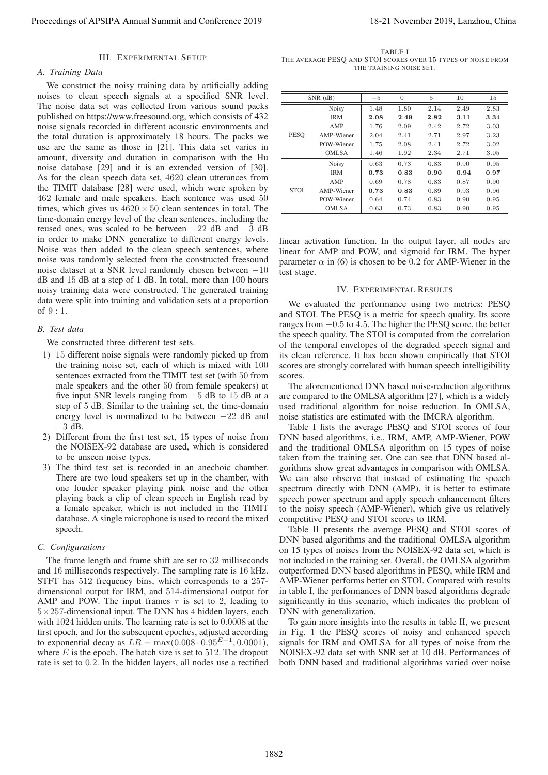#### III. EXPERIMENTAL SETUP

### *A. Training Data*

We construct the noisy training data by artificially adding noises to clean speech signals at a specified SNR level. The noise data set was collected from various sound packs published on https://www.freesound.org, which consists of 432 noise signals recorded in different acoustic environments and the total duration is approximately 18 hours. The packs we use are the same as those in [21]. This data set varies in amount, diversity and duration in comparison with the Hu noise database [29] and it is an extended version of [30]. As for the clean speech data set, 4620 clean utterances from the TIMIT database [28] were used, which were spoken by 462 female and male speakers. Each sentence was used 50 times, which gives us  $4620 \times 50$  clean sentences in total. The time-domain energy level of the clean sentences, including the reused ones, was scaled to be between <sup>−</sup>22 dB and <sup>−</sup>3 dB in order to make DNN generalize to different energy levels. Noise was then added to the clean speech sentences, where noise was randomly selected from the constructed freesound noise dataset at a SNR level randomly chosen between <sup>−</sup>10 dB and 15 dB at a step of 1 dB. In total, more than 100 hours noisy training data were constructed. The generated training data were split into training and validation sets at a proportion of 9:1. Proceeding of APSIPA Annual Summit at Circles on 2019<br>
2. The heading conference 2019 18-21 November 2019 18-21 November 2019 18-21 November 2019 18-21 November 2019 18-21 November 2019 18-21 November 2019 18-21 November

### *B. Test data*

We constructed three different test sets.

- 1) 15 different noise signals were randomly picked up from the training noise set, each of which is mixed with 100 sentences extracted from the TIMIT test set (with 50 from male speakers and the other 50 from female speakers) at five input SNR levels ranging from <sup>−</sup>5 dB to 15 dB at a step of 5 dB. Similar to the training set, the time-domain energy level is normalized to be between <sup>−</sup>22 dB and <sup>−</sup>3 dB.
- 2) Different from the first test set, 15 types of noise from the NOISEX-92 database are used, which is considered to be unseen noise types.
- 3) The third test set is recorded in an anechoic chamber. There are two loud speakers set up in the chamber, with one louder speaker playing pink noise and the other playing back a clip of clean speech in English read by a female speaker, which is not included in the TIMIT database. A single microphone is used to record the mixed speech.

# *C. Configurations*

The frame length and frame shift are set to 32 milliseconds and 16 milliseconds respectively. The sampling rate is 16 kHz. STFT has 512 frequency bins, which corresponds to a 257 dimensional output for IRM, and 514-dimensional output for AMP and POW. The input frames  $\tau$  is set to 2, leading to  $5\times257$ -dimensional input. The DNN has 4 hidden layers, each with 1024 hidden units. The learning rate is set to 0.<sup>0008</sup> at the first epoch, and for the subsequent epoches, adjusted according to exponential decay as  $LR = \max(0.008 \cdot 0.95^{E-1}, 0.0001)$ , where  $E$  is the epoch. The batch size is set to 512. The dropout rate is set to 0.2. In the hidden layers, all nodes use a rectified

TABLE I THE AVERAGE PESQ AND STOI SCORES OVER 15 TYPES OF NOISE FROM THE TRAINING NOISE SET.

| $SNR$ (dB)  |              | $-5$ | $\Omega$ | 5    | 10   | 15   |
|-------------|--------------|------|----------|------|------|------|
|             | <b>Noisy</b> | 1.48 | 1.80     | 2.14 | 2.49 | 2.83 |
| <b>PESO</b> | <b>IRM</b>   | 2.08 | 2.49     | 2.82 | 3.11 | 3.34 |
|             | AMP          | 1.76 | 2.09     | 2.42 | 2.72 | 3.03 |
|             | AMP-Wiener   | 2.04 | 2.41     | 2.71 | 2.97 | 3.23 |
|             | POW-Wiener   | 1.75 | 2.08     | 2.41 | 2.72 | 3.02 |
|             | OMLSA        | 1.46 | 1.92     | 2.34 | 2.71 | 3.05 |
| <b>STOI</b> | <b>Noisy</b> | 0.63 | 0.73     | 0.83 | 0.90 | 0.95 |
|             | <b>IRM</b>   | 0.73 | 0.83     | 0.90 | 0.94 | 0.97 |
|             | AMP          | 0.69 | 0.78     | 0.83 | 0.87 | 0.90 |
|             | AMP-Wiener   | 0.73 | 0.83     | 0.89 | 0.93 | 0.96 |
|             | POW-Wiener   | 0.64 | 0.74     | 0.83 | 0.90 | 0.95 |
|             | <b>OMLSA</b> | 0.63 | 0.73     | 0.83 | 0.90 | 0.95 |

linear activation function. In the output layer, all nodes are linear for AMP and POW, and sigmoid for IRM. The hyper parameter  $\alpha$  in (6) is chosen to be 0.2 for AMP-Wiener in the test stage.

#### IV. EXPERIMENTAL RESULTS

We evaluated the performance using two metrics: PESQ and STOI. The PESQ is a metric for speech quality. Its score ranges from <sup>−</sup>0.5 to 4.5. The higher the PESQ score, the better the speech quality. The STOI is computed from the correlation of the temporal envelopes of the degraded speech signal and its clean reference. It has been shown empirically that STOI scores are strongly correlated with human speech intelligibility scores.

The aforementioned DNN based noise-reduction algorithms are compared to the OMLSA algorithm [27], which is a widely used traditional algorithm for noise reduction. In OMLSA, noise statistics are estimated with the IMCRA algorithm.

Table I lists the average PESQ and STOI scores of four DNN based algorithms, i.e., IRM, AMP, AMP-Wiener, POW and the traditional OMLSA algorithm on 15 types of noise taken from the training set. One can see that DNN based algorithms show great advantages in comparison with OMLSA. We can also observe that instead of estimating the speech spectrum directly with DNN (AMP), it is better to estimate speech power spectrum and apply speech enhancement filters to the noisy speech (AMP-Wiener), which give us relatively competitive PESQ and STOI scores to IRM.

Table II presents the average PESQ and STOI scores of DNN based algorithms and the traditional OMLSA algorithm on 15 types of noises from the NOISEX-92 data set, which is not included in the training set. Overall, the OMLSA algorithm outperformed DNN based algorithms in PESQ, while IRM and AMP-Wiener performs better on STOI. Compared with results in table I, the performances of DNN based algorithms degrade significantly in this scenario, which indicates the problem of DNN with generalization.

To gain more insights into the results in table II, we present in Fig. 1 the PESQ scores of noisy and enhanced speech signals for IRM and OMLSA for all types of noise from the NOISEX-92 data set with SNR set at 10 dB. Performances of both DNN based and traditional algorithms varied over noise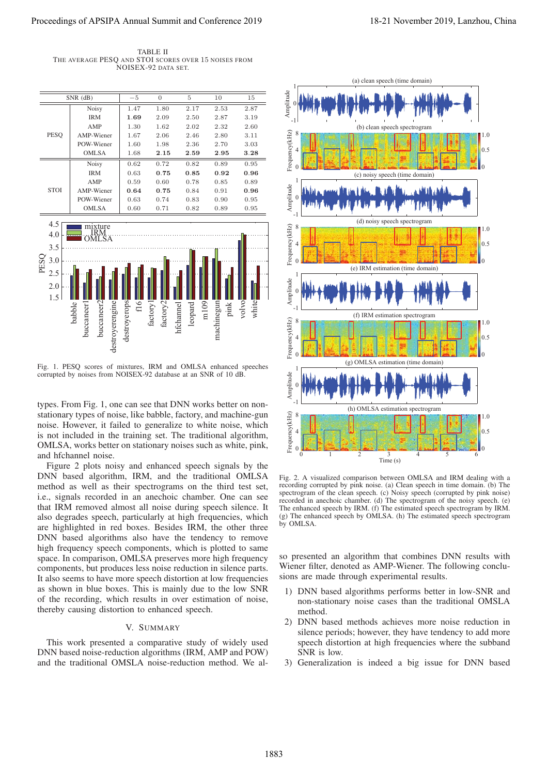TABLE II THE AVERAGE PESQ AND STOI SCORES OVER 15 NOISES FROM NOISEX-92 DATA SET.



Fig. 1. PESQ scores of mixtures, IRM and OMLSA enhanced speeches corrupted by noises from NOISEX-92 database at an SNR of 10 dB.

types. From Fig. 1, one can see that DNN works better on nonstationary types of noise, like babble, factory, and machine-gun noise. However, it failed to generalize to white noise, which is not included in the training set. The traditional algorithm, OMLSA, works better on stationary noises such as white, pink, and hfchannel noise.

Figure 2 plots noisy and enhanced speech signals by the DNN based algorithm, IRM, and the traditional OMLSA method as well as their spectrograms on the third test set, i.e., signals recorded in an anechoic chamber. One can see that IRM removed almost all noise during speech silence. It also degrades speech, particularly at high frequencies, which are highlighted in red boxes. Besides IRM, the other three DNN based algorithms also have the tendency to remove high frequency speech components, which is plotted to same space. In comparison, OMLSA preserves more high frequency components, but produces less noise reduction in silence parts. It also seems to have more speech distortion at low frequencies as shown in blue boxes. This is mainly due to the low SNR of the recording, which results in over estimation of noise, thereby causing distortion to enhanced speech.

#### V. SUMMARY

This work presented a comparative study of widely used DNN based noise-reduction algorithms (IRM, AMP and POW) and the traditional OMSLA noise-reduction method. We al-



Fig. 2. A visualized comparison between OMLSA and IRM dealing with a recording corrupted by pink noise. (a) Clean speech in time domain. (b) The spectrogram of the clean speech. (c) Noisy speech (corrupted by pink noise) recorded in anechoic chamber. (d) The spectrogram of the noisy speech. (e) The enhanced speech by IRM. (f) The estimated speech spectrogram by IRM. (g) The enhanced speech by OMLSA. (h) The estimated speech spectrogram by OMLSA.

so presented an algorithm that combines DNN results with Wiener filter, denoted as AMP-Wiener. The following conclusions are made through experimental results.

- 1) DNN based algorithms performs better in low-SNR and non-stationary noise cases than the traditional OMSLA method.
- 2) DNN based methods achieves more noise reduction in silence periods; however, they have tendency to add more speech distortion at high frequencies where the subband SNR is low.
- 3) Generalization is indeed a big issue for DNN based